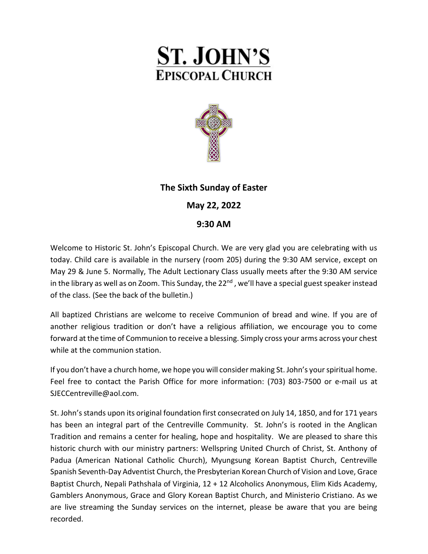



## **The Sixth Sunday of Easter**

## **May 22, 2022**

## **9:30 AM**

Welcome to Historic St. John's Episcopal Church. We are very glad you are celebrating with us today. Child care is available in the nursery (room 205) during the 9:30 AM service, except on May 29 & June 5. Normally, The Adult Lectionary Class usually meets after the 9:30 AM service in the library as well as on Zoom. This Sunday, the  $22<sup>nd</sup>$ , we'll have a special guest speaker instead of the class. (See the back of the bulletin.)

All baptized Christians are welcome to receive Communion of bread and wine. If you are of another religious tradition or don't have a religious affiliation, we encourage you to come forward at the time of Communion to receive a blessing. Simply cross your arms across your chest while at the communion station.

If you don't have a church home, we hope you will consider making St. John's your spiritual home. Feel free to contact the Parish Office for more information: (703) 803-7500 or e-mail us at [SJECCentreville@aol.com.](mailto:SJECCentreville@aol.com)

St. John's stands upon its original foundation first consecrated on July 14, 1850, and for 171 years has been an integral part of the Centreville Community. St. John's is rooted in the Anglican Tradition and remains a center for healing, hope and hospitality. We are pleased to share this historic church with our ministry partners: Wellspring United Church of Christ, St. Anthony of Padua (American National Catholic Church), Myungsung Korean Baptist Church, Centreville Spanish Seventh-Day Adventist Church, the Presbyterian Korean Church of Vision and Love, Grace Baptist Church, Nepali Pathshala of Virginia, 12 + 12 Alcoholics Anonymous, Elim Kids Academy, Gamblers Anonymous, Grace and Glory Korean Baptist Church, and Ministerio Cristiano. As we are live streaming the Sunday services on the internet, please be aware that you are being recorded.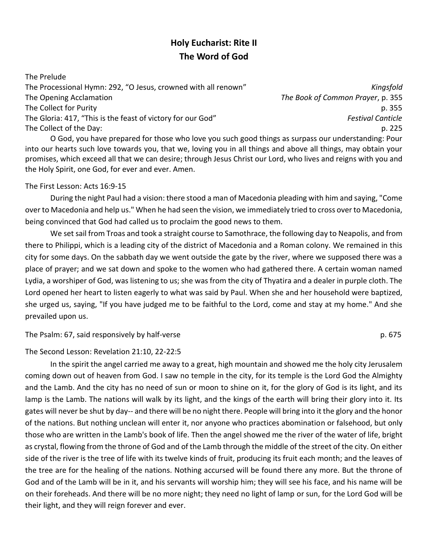# **Holy Eucharist: Rite II The Word of God**

The Prelude The Processional Hymn: 292, "O Jesus, crowned with all renown" *Kingsfold* The Opening Acclamation *The Book of Common Prayer*, p. 355 The Collect for Purity **p. 355** The Gloria: 417, "This is the feast of victory for our God" *Festival Canticle* The Collect of the Day: p. 225

O God, you have prepared for those who love you such good things as surpass our understanding: Pour into our hearts such love towards you, that we, loving you in all things and above all things, may obtain your promises, which exceed all that we can desire; through Jesus Christ our Lord, who lives and reigns with you and the Holy Spirit, one God, for ever and ever. Amen.

### The First Lesson: Acts 16:9-15

During the night Paul had a vision: there stood a man of Macedonia pleading with him and saying, "Come over to Macedonia and help us." When he had seen the vision, we immediately tried to cross over to Macedonia, being convinced that God had called us to proclaim the good news to them.

We set sail from Troas and took a straight course to Samothrace, the following day to Neapolis, and from there to Philippi, which is a leading city of the district of Macedonia and a Roman colony. We remained in this city for some days. On the sabbath day we went outside the gate by the river, where we supposed there was a place of prayer; and we sat down and spoke to the women who had gathered there. A certain woman named Lydia, a worshiper of God, was listening to us; she was from the city of Thyatira and a dealer in purple cloth. The Lord opened her heart to listen eagerly to what was said by Paul. When she and her household were baptized, she urged us, saying, "If you have judged me to be faithful to the Lord, come and stay at my home." And she prevailed upon us.

The Psalm: 67, said responsively by half-verse p. 675

### The Second Lesson: Revelation 21:10, 22-22:5

In the spirit the angel carried me away to a great, high mountain and showed me the holy city Jerusalem coming down out of heaven from God. I saw no temple in the city, for its temple is the Lord God the Almighty and the Lamb. And the city has no need of sun or moon to shine on it, for the glory of God is its light, and its lamp is the Lamb. The nations will walk by its light, and the kings of the earth will bring their glory into it. Its gates will never be shut by day-- and there will be no night there. People will bring into it the glory and the honor of the nations. But nothing unclean will enter it, nor anyone who practices abomination or falsehood, but only those who are written in the Lamb's book of life. Then the angel showed me the river of the water of life, bright as crystal, flowing from the throne of God and of the Lamb through the middle of the street of the city. On either side of the river is the tree of life with its twelve kinds of fruit, producing its fruit each month; and the leaves of the tree are for the healing of the nations. Nothing accursed will be found there any more. But the throne of God and of the Lamb will be in it, and his servants will worship him; they will see his face, and his name will be on their foreheads. And there will be no more night; they need no light of lamp or sun, for the Lord God will be their light, and they will reign forever and ever.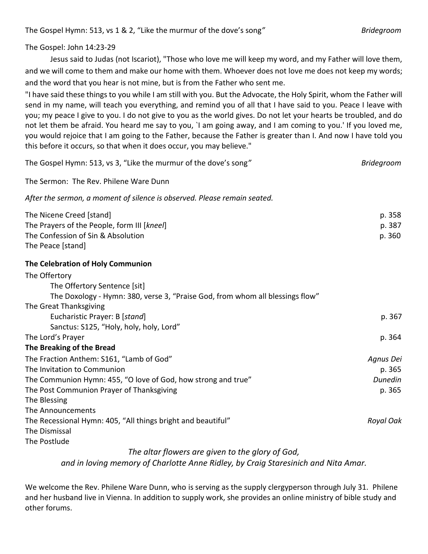The Gospel Hymn: 513, vs 1 & 2, "Like the murmur of the dove's song*" Bridegroom*

The Gospel: John 14:23-29

Jesus said to Judas (not Iscariot), "Those who love me will keep my word, and my Father will love them, and we will come to them and make our home with them. Whoever does not love me does not keep my words; and the word that you hear is not mine, but is from the Father who sent me.

"I have said these things to you while I am still with you. But the Advocate, the Holy Spirit, whom the Father will send in my name, will teach you everything, and remind you of all that I have said to you. Peace I leave with you; my peace I give to you. I do not give to you as the world gives. Do not let your hearts be troubled, and do not let them be afraid. You heard me say to you, `I am going away, and I am coming to you.' If you loved me, you would rejoice that I am going to the Father, because the Father is greater than I. And now I have told you this before it occurs, so that when it does occur, you may believe."

| The Gospel Hymn: 513, vs 3, "Like the murmur of the dove's song"                                                                           | <b>Bridegroom</b>          |
|--------------------------------------------------------------------------------------------------------------------------------------------|----------------------------|
| The Sermon: The Rev. Philene Ware Dunn                                                                                                     |                            |
| After the sermon, a moment of silence is observed. Please remain seated.                                                                   |                            |
| The Nicene Creed [stand]<br>The Prayers of the People, form III [kneel]<br>The Confession of Sin & Absolution<br>The Peace [stand]         | p. 358<br>p. 387<br>p. 360 |
| The Celebration of Holy Communion                                                                                                          |                            |
| The Offertory                                                                                                                              |                            |
| The Offertory Sentence [sit]                                                                                                               |                            |
| The Doxology - Hymn: 380, verse 3, "Praise God, from whom all blessings flow"                                                              |                            |
| The Great Thanksgiving                                                                                                                     |                            |
| Eucharistic Prayer: B [stand]                                                                                                              | p. 367                     |
| Sanctus: S125, "Holy, holy, holy, Lord"                                                                                                    |                            |
| The Lord's Prayer                                                                                                                          | p. 364                     |
| The Breaking of the Bread                                                                                                                  |                            |
| The Fraction Anthem: S161, "Lamb of God"                                                                                                   | Agnus Dei                  |
| The Invitation to Communion                                                                                                                | p. 365                     |
| The Communion Hymn: 455, "O love of God, how strong and true"                                                                              | <b>Dunedin</b>             |
| The Post Communion Prayer of Thanksgiving                                                                                                  | p. 365                     |
| The Blessing                                                                                                                               |                            |
| The Announcements                                                                                                                          |                            |
| The Recessional Hymn: 405, "All things bright and beautiful"                                                                               | Royal Oak                  |
| The Dismissal                                                                                                                              |                            |
| The Postlude                                                                                                                               |                            |
| The altar flowers are given to the glory of God,<br>red is louise monetary of Charlette Anno Didloy, by Craig Cteresiaish and Nite America |                            |

*and in loving memory of Charlotte Anne Ridley, by Craig Staresinich and Nita Amar.*

We welcome the Rev. Philene Ware Dunn, who is serving as the supply clergyperson through July 31. Philene and her husband live in Vienna. In addition to supply work, she provides an online ministry of bible study and other forums.